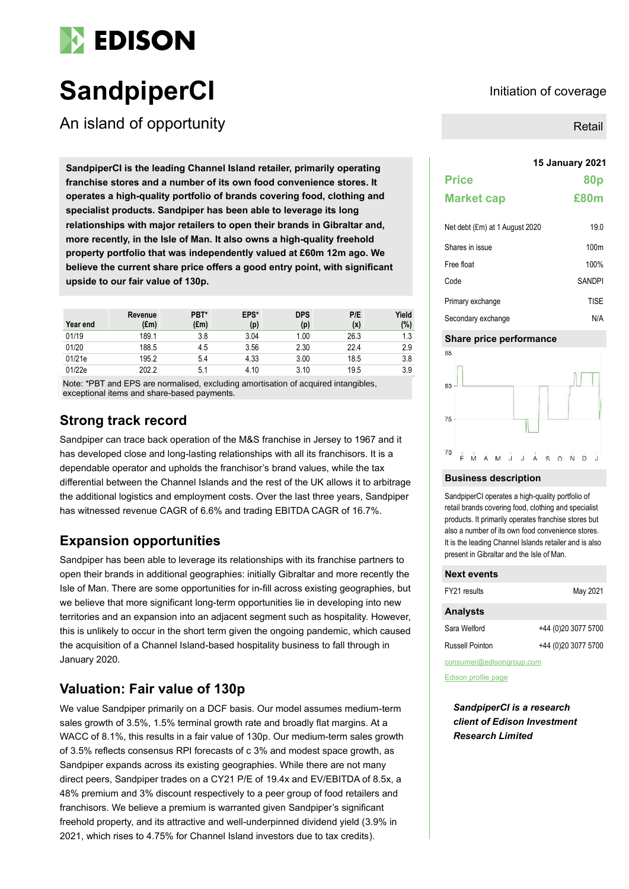

# **SandpiperCI Initiation of coverage**

An island of opportunity

**15 January <sup>2021</sup> SandpiperCI is the leading Channel Island retailer, primarily operating franchise stores and a number of its own food convenience stores. It operates a high-quality portfolio of brands covering food, clothing and specialist products. Sandpiper has been able to leverage its long relationships with major retailers to open their brands in Gibraltar and, more recently, in the Isle of Man. It also owns a high-quality freehold property portfolio that was independently valued at £60m 12m ago. We believe the current share price offers a good entry point, with significant upside to our fair value of 130p.**

|          | Revenue | PBT*          | EPS* | <b>DPS</b> | P/E  | Yield |
|----------|---------|---------------|------|------------|------|-------|
| Year end | (£m)    | $(\text{Em})$ | (p)  | (p)        | (x)  | (%)   |
| 01/19    | 189.1   | 3.8           | 3.04 | 1.00       | 26.3 | 1.3   |
| 01/20    | 188.5   | 4.5           | 3.56 | 2.30       | 22.4 | 2.9   |
| 01/21e   | 195.2   | 5.4           | 4.33 | 3.00       | 18.5 | 3.8   |
| 01/22e   | 202.2   | 5.1           | 4.10 | 3.10       | 19.5 | 3.9   |

Note: \*PBT and EPS are normalised, excluding amortisation of acquired intangibles, exceptional items and share-based payments.

### **Strong track record**

Sandpiper can trace back operation of the M&S franchise in Jersey to 1967 and it has developed close and long-lasting relationships with all its franchisors. It is a dependable operator and upholds the franchisor's brand values, while the tax differential between the Channel Islands and the rest of the UK allows it to arbitrage the additional logistics and employment costs. Over the last three years, Sandpiper has witnessed revenue CAGR of 6.6% and trading EBITDA CAGR of 16.7%.

### **Expansion opportunities**

Sandpiper has been able to leverage its relationships with its franchise partners to open their brands in additional geographies: initially Gibraltar and more recently the Isle of Man. There are some opportunities for in-fill across existing geographies, but we believe that more significant long-term opportunities lie in developing into new territories and an expansion into an adjacent segment such as hospitality. However, this is unlikely to occur in the short term given the ongoing pandemic, which caused the acquisition of a Channel Island-based hospitality business to fall through in January 2020.

### **Valuation: Fair value of 130p**

We value Sandpiper primarily on a DCF basis. Our model assumes medium-term sales growth of 3.5%, 1.5% terminal growth rate and broadly flat margins. At a WACC of 8.1%, this results in a fair value of 130p. Our medium-term sales growth of 3.5% reflects consensus RPI forecasts of c 3% and modest space growth, as Sandpiper expands across its existing geographies. While there are not many direct peers, Sandpiper trades on a CY21 P/E of 19.4x and EV/EBITDA of 8.5x, a 48% premium and 3% discount respectively to a peer group of food retailers and franchisors. We believe a premium is warranted given Sandpiper's significant freehold property, and its attractive and well-underpinned dividend yield (3.9% in 2021, which rises to 4.75% for Channel Island investors due to tax credits).

Retail

# **Price 80p Market cap £80m**

| Net debt (£m) at 1 August 2020 | 19.0             |
|--------------------------------|------------------|
| Shares in issue                | 100 <sub>m</sub> |
| Free float                     | 100%             |
| Code                           | <b>SANDPI</b>    |
| Primary exchange               | <b>TISE</b>      |
| Secondary exchange             | N/A              |

#### **Share price performance**



#### **Business description**

SandpiperCI operates a high-quality portfolio of retail brands covering food, clothing and specialist products. It primarily operates franchise stores but also a number of its own food convenience stores. It is the leading Channel Islands retailer and is also present in Gibraltar and the Isle of Man.

| <b>Next events</b>       |                     |
|--------------------------|---------------------|
| FY21 results             | May 2021            |
| <b>Analysts</b>          |                     |
| Sara Welford             | +44 (0)20 3077 5700 |
| Russell Pointon          | +44 (0)20 3077 5700 |
| consumer@edisongroup.com |                     |

[Edison profile page](https://www.edisongroup.com/company/SandpiperCI)

*SandpiperCI is a research client of Edison Investment Research Limited*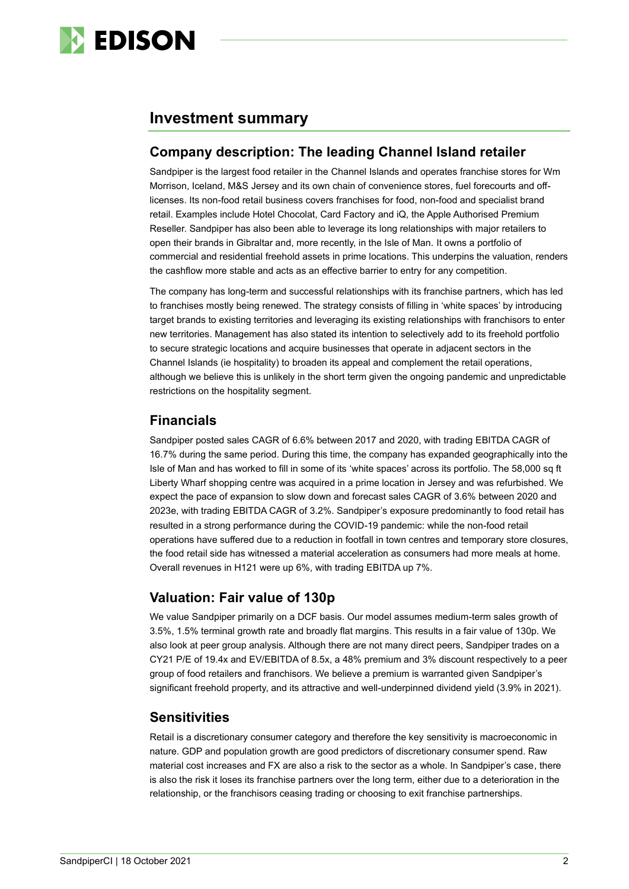

### **Investment summary**

### **Company description: The leading Channel Island retailer**

Sandpiper is the largest food retailer in the Channel Islands and operates franchise stores for Wm Morrison, Iceland, M&S Jersey and its own chain of convenience stores, fuel forecourts and offlicenses. Its non-food retail business covers franchises for food, non-food and specialist brand retail. Examples include Hotel Chocolat, Card Factory and iQ, the Apple Authorised Premium Reseller. Sandpiper has also been able to leverage its long relationships with major retailers to open their brands in Gibraltar and, more recently, in the Isle of Man. It owns a portfolio of commercial and residential freehold assets in prime locations. This underpins the valuation, renders the cashflow more stable and acts as an effective barrier to entry for any competition.

The company has long-term and successful relationships with its franchise partners, which has led to franchises mostly being renewed. The strategy consists of filling in 'white spaces' by introducing target brands to existing territories and leveraging its existing relationships with franchisors to enter new territories. Management has also stated its intention to selectively add to its freehold portfolio to secure strategic locations and acquire businesses that operate in adjacent sectors in the Channel Islands (ie hospitality) to broaden its appeal and complement the retail operations, although we believe this is unlikely in the short term given the ongoing pandemic and unpredictable restrictions on the hospitality segment.

### **Financials**

Sandpiper posted sales CAGR of 6.6% between 2017 and 2020, with trading EBITDA CAGR of 16.7% during the same period. During this time, the company has expanded geographically into the Isle of Man and has worked to fill in some of its 'white spaces' across its portfolio. The 58,000 sq ft Liberty Wharf shopping centre was acquired in a prime location in Jersey and was refurbished. We expect the pace of expansion to slow down and forecast sales CAGR of 3.6% between 2020 and 2023e, with trading EBITDA CAGR of 3.2%. Sandpiper's exposure predominantly to food retail has resulted in a strong performance during the COVID-19 pandemic: while the non-food retail operations have suffered due to a reduction in footfall in town centres and temporary store closures, the food retail side has witnessed a material acceleration as consumers had more meals at home. Overall revenues in H121 were up 6%, with trading EBITDA up 7%.

### **Valuation: Fair value of 130p**

We value Sandpiper primarily on a DCF basis. Our model assumes medium-term sales growth of 3.5%, 1.5% terminal growth rate and broadly flat margins. This results in a fair value of 130p. We also look at peer group analysis. Although there are not many direct peers, Sandpiper trades on a CY21 P/E of 19.4x and EV/EBITDA of 8.5x, a 48% premium and 3% discount respectively to a peer group of food retailers and franchisors. We believe a premium is warranted given Sandpiper's significant freehold property, and its attractive and well-underpinned dividend yield (3.9% in 2021).

### **Sensitivities**

Retail is a discretionary consumer category and therefore the key sensitivity is macroeconomic in nature. GDP and population growth are good predictors of discretionary consumer spend. Raw material cost increases and FX are also a risk to the sector as a whole. In Sandpiper's case, there is also the risk it loses its franchise partners over the long term, either due to a deterioration in the relationship, or the franchisors ceasing trading or choosing to exit franchise partnerships.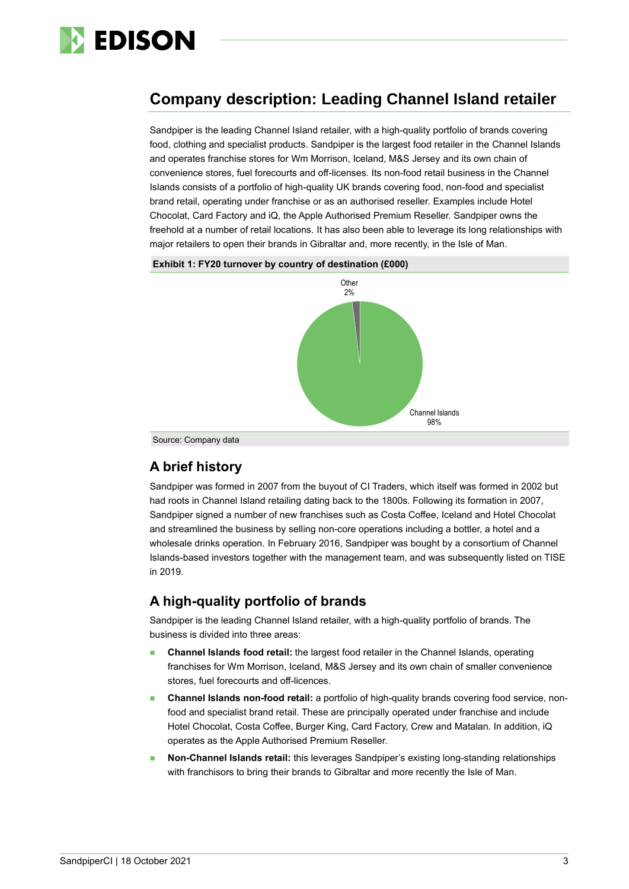

## **Company description: Leading Channel Island retailer**

Sandpiper is the leading Channel Island retailer, with a high-quality portfolio of brands covering food, clothing and specialist products. Sandpiper is the largest food retailer in the Channel Islands and operates franchise stores for Wm Morrison, Iceland, M&S Jersey and its own chain of convenience stores, fuel forecourts and off-licenses. Its non-food retail business in the Channel Islands consists of a portfolio of high-quality UK brands covering food, non-food and specialist brand retail, operating under franchise or as an authorised reseller. Examples include Hotel Chocolat, Card Factory and iQ, the Apple Authorised Premium Reseller. Sandpiper owns the freehold at a number of retail locations. It has also been able to leverage its long relationships with major retailers to open their brands in Gibraltar and, more recently, in the Isle of Man.



#### **Exhibit 1: FY20 turnover by country of destination (£000)**

### **A brief history**

Sandpiper was formed in 2007 from the buyout of CI Traders, which itself was formed in 2002 but had roots in Channel Island retailing dating back to the 1800s. Following its formation in 2007, Sandpiper signed a number of new franchises such as Costa Coffee, Iceland and Hotel Chocolat and streamlined the business by selling non-core operations including a bottler, a hotel and a wholesale drinks operation. In February 2016, Sandpiper was bought by a consortium of Channel Islands-based investors together with the management team, and was subsequently listed on TISE in 2019.

### **A high-quality portfolio of brands**

Sandpiper is the leading Channel Island retailer, with a high-quality portfolio of brands. The business is divided into three areas:

- ◼ **Channel Islands food retail:** the largest food retailer in the Channel Islands, operating franchises for Wm Morrison, Iceland, M&S Jersey and its own chain of smaller convenience stores, fuel forecourts and off-licences.
- ◼ **Channel Islands non-food retail:** a portfolio of high-quality brands covering food service, nonfood and specialist brand retail. These are principally operated under franchise and include Hotel Chocolat, Costa Coffee, Burger King, Card Factory, Crew and Matalan. In addition, iQ operates as the Apple Authorised Premium Reseller.
- ◼ **Non-Channel Islands retail:** this leverages Sandpiper's existing long-standing relationships with franchisors to bring their brands to Gibraltar and more recently the Isle of Man.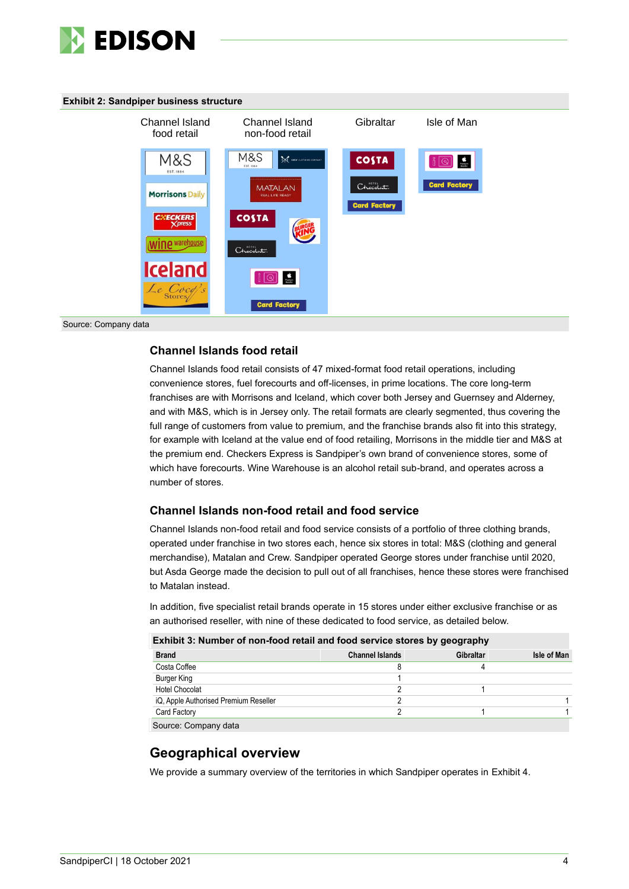

#### **Exhibit 2: Sandpiper business structure**



#### Source: Company data

### **Channel Islands food retail**

Channel Islands food retail consists of 47 mixed-format food retail operations, including convenience stores, fuel forecourts and off-licenses, in prime locations. The core long-term franchises are with Morrisons and Iceland, which cover both Jersey and Guernsey and Alderney, and with M&S, which is in Jersey only. The retail formats are clearly segmented, thus covering the full range of customers from value to premium, and the franchise brands also fit into this strategy, for example with Iceland at the value end of food retailing, Morrisons in the middle tier and M&S at the premium end. Checkers Express is Sandpiper's own brand of convenience stores, some of which have forecourts. Wine Warehouse is an alcohol retail sub-brand, and operates across a number of stores.

### **Channel Islands non-food retail and food service**

Channel Islands non-food retail and food service consists of a portfolio of three clothing brands, operated under franchise in two stores each, hence six stores in total: M&S (clothing and general merchandise), Matalan and Crew. Sandpiper operated George stores under franchise until 2020, but Asda George made the decision to pull out of all franchises, hence these stores were franchised to Matalan instead.

In addition, five specialist retail brands operate in 15 stores under either exclusive franchise or as an authorised reseller, with nine of these dedicated to food service, as detailed below.

| Exhibit 3: Number of non-food retail and food service stores by geography |                        |                  |             |  |  |  |  |
|---------------------------------------------------------------------------|------------------------|------------------|-------------|--|--|--|--|
| <b>Brand</b>                                                              | <b>Channel Islands</b> | <b>Gibraltar</b> | Isle of Man |  |  |  |  |
| Costa Coffee                                                              |                        |                  |             |  |  |  |  |
| Burger King                                                               |                        |                  |             |  |  |  |  |
| <b>Hotel Chocolat</b>                                                     |                        |                  |             |  |  |  |  |
| iQ, Apple Authorised Premium Reseller                                     |                        |                  |             |  |  |  |  |
| Card Factory                                                              |                        |                  |             |  |  |  |  |
| Source: Company data                                                      |                        |                  |             |  |  |  |  |

### **Geographical overview**

We provide a summary overview of the territories in which Sandpiper operates in Exhibit 4.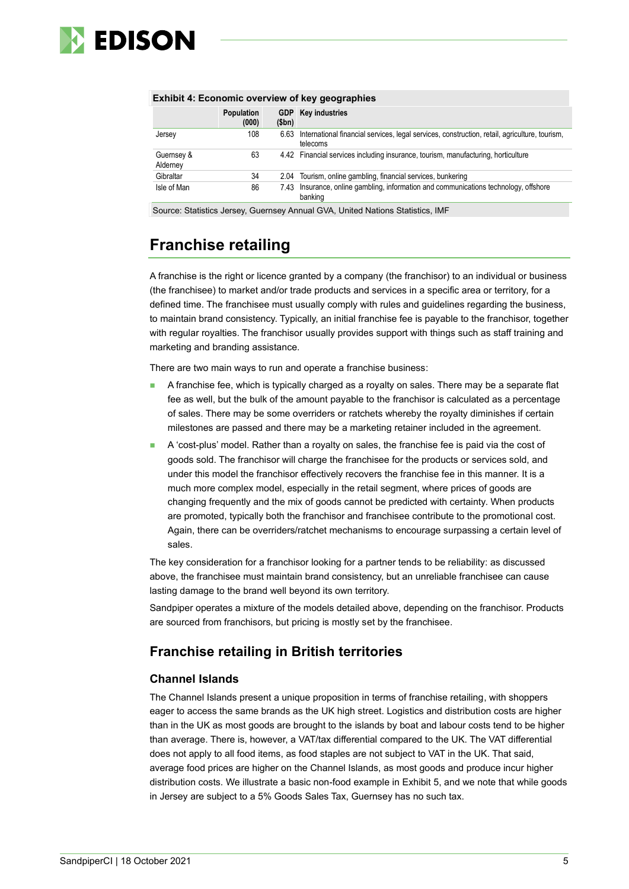

| <b>Exhibit 4: Economic overview of key geographies</b> |       |                                                                                                           |  |  |  |  |  |
|--------------------------------------------------------|-------|-----------------------------------------------------------------------------------------------------------|--|--|--|--|--|
| <b>Population</b><br>(000)                             | \$bn) | <b>GDP</b> Key industries                                                                                 |  |  |  |  |  |
| 108                                                    | 6.63  | International financial services, legal services, construction, retail, agriculture, tourism,<br>telecoms |  |  |  |  |  |
| 63                                                     |       | 4.42 Financial services including insurance, tourism, manufacturing, horticulture                         |  |  |  |  |  |
| 34                                                     |       | 2.04 Tourism, online gambling, financial services, bunkering                                              |  |  |  |  |  |
| 86                                                     | 7.43  | Insurance, online gambling, information and communications technology, offshore<br>banking                |  |  |  |  |  |
|                                                        |       |                                                                                                           |  |  |  |  |  |

#### **Exhibit 4: Economic overview of key geographies**

Source: Statistics Jersey, Guernsey Annual GVA, United Nations Statistics, IMF

## **Franchise retailing**

A franchise is the right or licence granted by a company (the franchisor) to an individual or business (the franchisee) to market and/or trade products and services in a specific area or territory, for a defined time. The franchisee must usually comply with rules and guidelines regarding the business, to maintain brand consistency. Typically, an initial franchise fee is payable to the franchisor, together with regular royalties. The franchisor usually provides support with things such as staff training and marketing and branding assistance.

There are two main ways to run and operate a franchise business:

- A franchise fee, which is typically charged as a royalty on sales. There may be a separate flat fee as well, but the bulk of the amount payable to the franchisor is calculated as a percentage of sales. There may be some overriders or ratchets whereby the royalty diminishes if certain milestones are passed and there may be a marketing retainer included in the agreement.
- A 'cost-plus' model. Rather than a royalty on sales, the franchise fee is paid via the cost of goods sold. The franchisor will charge the franchisee for the products or services sold, and under this model the franchisor effectively recovers the franchise fee in this manner. It is a much more complex model, especially in the retail segment, where prices of goods are changing frequently and the mix of goods cannot be predicted with certainty. When products are promoted, typically both the franchisor and franchisee contribute to the promotional cost. Again, there can be overriders/ratchet mechanisms to encourage surpassing a certain level of sales.

The key consideration for a franchisor looking for a partner tends to be reliability: as discussed above, the franchisee must maintain brand consistency, but an unreliable franchisee can cause lasting damage to the brand well beyond its own territory.

Sandpiper operates a mixture of the models detailed above, depending on the franchisor. Products are sourced from franchisors, but pricing is mostly set by the franchisee.

### **Franchise retailing in British territories**

### **Channel Islands**

The Channel Islands present a unique proposition in terms of franchise retailing, with shoppers eager to access the same brands as the UK high street. Logistics and distribution costs are higher than in the UK as most goods are brought to the islands by boat and labour costs tend to be higher than average. There is, however, a VAT/tax differential compared to the UK. The VAT differential does not apply to all food items, as food staples are not subject to VAT in the UK. That said, average food prices are higher on the Channel Islands, as most goods and produce incur higher distribution costs. We illustrate a basic non-food example in Exhibit 5, and we note that while goods in Jersey are subject to a 5% Goods Sales Tax, Guernsey has no such tax.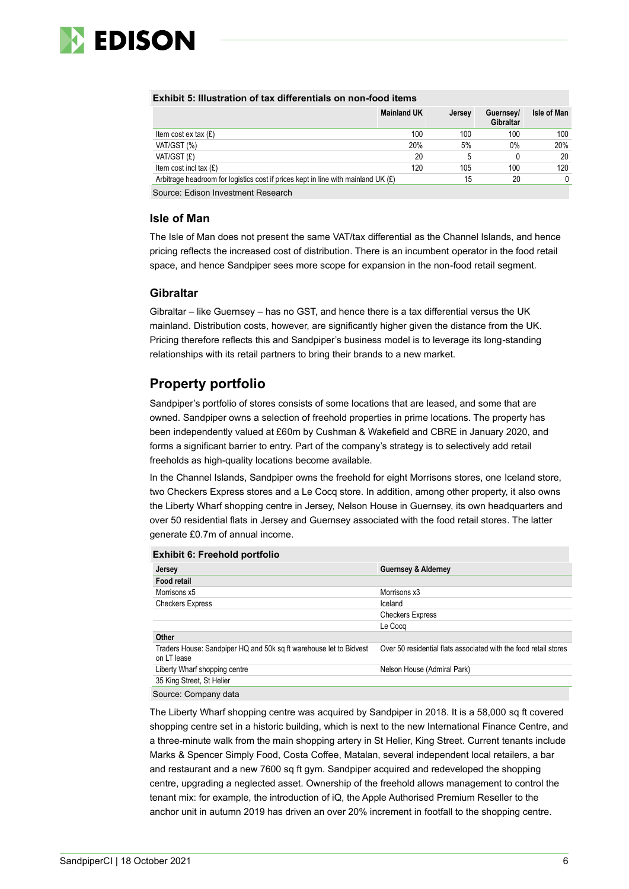

| LAINDIL 9. MUSU GUVIL VI LGA UNIGIGIUGIS VII NVII-IVVU ILGINS |                    |        |                        |                    |  |  |  |
|---------------------------------------------------------------|--------------------|--------|------------------------|--------------------|--|--|--|
|                                                               | <b>Mainland UK</b> | Jersey | Guernsey/<br>Gibraltar | <b>Isle of Man</b> |  |  |  |
| Item cost ex tax $(E)$                                        | 100                | 100    | 100                    | 100                |  |  |  |

### **Exhibit 5: Illustration of tax differentials on non-food items**

|                                                                                     |     |     | <b>Gibraltar</b> |     |
|-------------------------------------------------------------------------------------|-----|-----|------------------|-----|
| Item cost $ex$ tax $(E)$                                                            | 100 | 100 | 100              | 100 |
| VAT/GST (%)                                                                         | 20% | 5%  | $0\%$            | 20% |
| VAT/GST (£)                                                                         | 20  |     |                  | 20  |
| Item cost incl tax $(E)$                                                            | 120 | 105 | 100              | 120 |
| Arbitrage headroom for logistics cost if prices kept in line with mainland UK $(E)$ |     | 15  | 20               |     |
| Normala de Estadounidades de La contra Estadounidades (n. 1871).                    |     |     |                  |     |

Source: Edison Investment Research

#### **Isle of Man**

The Isle of Man does not present the same VAT/tax differential as the Channel Islands, and hence pricing reflects the increased cost of distribution. There is an incumbent operator in the food retail space, and hence Sandpiper sees more scope for expansion in the non-food retail segment.

#### **Gibraltar**

Gibraltar – like Guernsey – has no GST, and hence there is a tax differential versus the UK mainland. Distribution costs, however, are significantly higher given the distance from the UK. Pricing therefore reflects this and Sandpiper's business model is to leverage its long-standing relationships with its retail partners to bring their brands to a new market.

### **Property portfolio**

Sandpiper's portfolio of stores consists of some locations that are leased, and some that are owned. Sandpiper owns a selection of freehold properties in prime locations. The property has been independently valued at £60m by Cushman & Wakefield and CBRE in January 2020, and forms a significant barrier to entry. Part of the company's strategy is to selectively add retail freeholds as high-quality locations become available.

In the Channel Islands, Sandpiper owns the freehold for eight Morrisons stores, one Iceland store, two Checkers Express stores and a Le Cocq store. In addition, among other property, it also owns the Liberty Wharf shopping centre in Jersey, Nelson House in Guernsey, its own headquarters and over 50 residential flats in Jersey and Guernsey associated with the food retail stores. The latter generate £0.7m of annual income.

| <b>Exhibit 6: Freehold portfolio</b>                                              |                                                                  |
|-----------------------------------------------------------------------------------|------------------------------------------------------------------|
| Jersey                                                                            | <b>Guernsey &amp; Alderney</b>                                   |
| <b>Food retail</b>                                                                |                                                                  |
| Morrisons x5                                                                      | Morrisons x3                                                     |
| <b>Checkers Express</b>                                                           | Iceland                                                          |
|                                                                                   | <b>Checkers Express</b>                                          |
|                                                                                   | Le Coca                                                          |
| Other                                                                             |                                                                  |
| Traders House: Sandpiper HQ and 50k sq ft warehouse let to Bidvest<br>on LT lease | Over 50 residential flats associated with the food retail stores |
| Liberty Wharf shopping centre                                                     | Nelson House (Admiral Park)                                      |
| 35 King Street, St Helier                                                         |                                                                  |
| Source: Company data                                                              |                                                                  |

The Liberty Wharf shopping centre was acquired by Sandpiper in 2018. It is a 58,000 sq ft covered shopping centre set in a historic building, which is next to the new International Finance Centre, and a three-minute walk from the main shopping artery in St Helier, King Street. Current tenants include Marks & Spencer Simply Food, Costa Coffee, Matalan, several independent local retailers, a bar and restaurant and a new 7600 sq ft gym. Sandpiper acquired and redeveloped the shopping centre, upgrading a neglected asset. Ownership of the freehold allows management to control the tenant mix: for example, the introduction of iQ, the Apple Authorised Premium Reseller to the anchor unit in autumn 2019 has driven an over 20% increment in footfall to the shopping centre.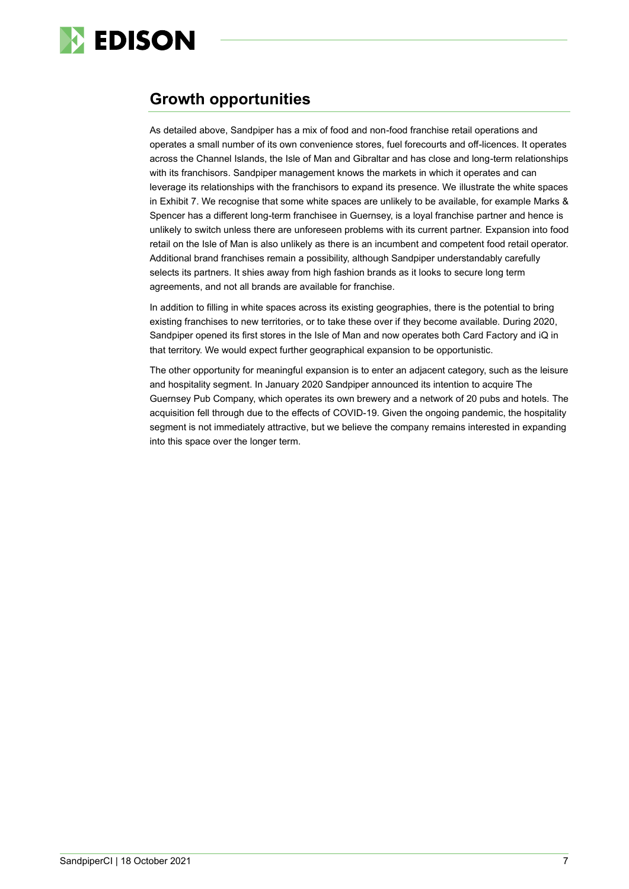

### **Growth opportunities**

As detailed above, Sandpiper has a mix of food and non-food franchise retail operations and operates a small number of its own convenience stores, fuel forecourts and off-licences. It operates across the Channel Islands, the Isle of Man and Gibraltar and has close and long-term relationships with its franchisors. Sandpiper management knows the markets in which it operates and can leverage its relationships with the franchisors to expand its presence. We illustrate the white spaces in Exhibit 7. We recognise that some white spaces are unlikely to be available, for example Marks & Spencer has a different long-term franchisee in Guernsey, is a loyal franchise partner and hence is unlikely to switch unless there are unforeseen problems with its current partner. Expansion into food retail on the Isle of Man is also unlikely as there is an incumbent and competent food retail operator. Additional brand franchises remain a possibility, although Sandpiper understandably carefully selects its partners. It shies away from high fashion brands as it looks to secure long term agreements, and not all brands are available for franchise.

In addition to filling in white spaces across its existing geographies, there is the potential to bring existing franchises to new territories, or to take these over if they become available. During 2020, Sandpiper opened its first stores in the Isle of Man and now operates both Card Factory and iQ in that territory. We would expect further geographical expansion to be opportunistic.

The other opportunity for meaningful expansion is to enter an adjacent category, such as the leisure and hospitality segment. In January 2020 Sandpiper announced its intention to acquire The Guernsey Pub Company, which operates its own brewery and a network of 20 pubs and hotels. The acquisition fell through due to the effects of COVID-19. Given the ongoing pandemic, the hospitality segment is not immediately attractive, but we believe the company remains interested in expanding into this space over the longer term.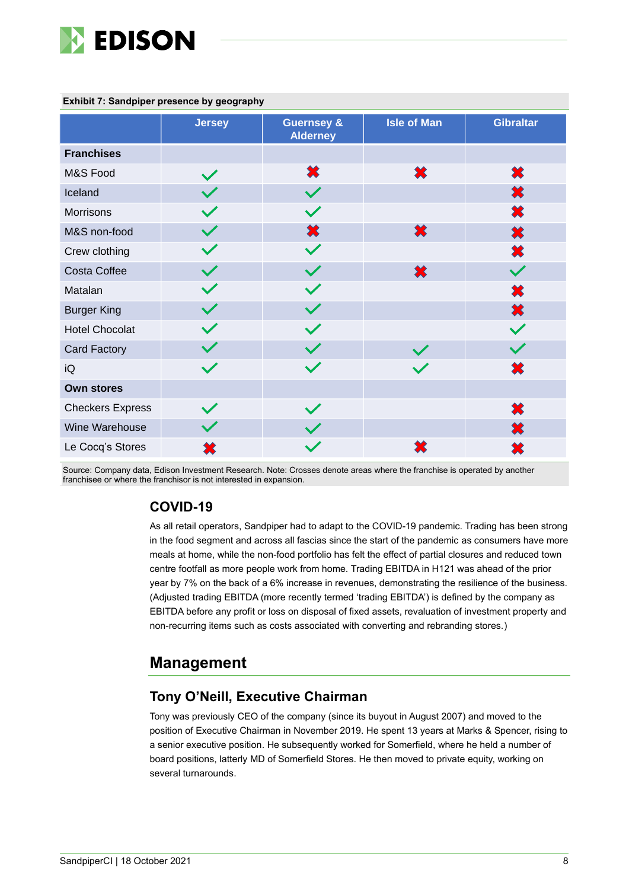

|                         | <b>Jersey</b> | <b>Guernsey &amp;</b><br><b>Alderney</b> | <b>Isle of Man</b> | <b>Gibraltar</b> |
|-------------------------|---------------|------------------------------------------|--------------------|------------------|
| <b>Franchises</b>       |               |                                          |                    |                  |
| M&S Food                | $\checkmark$  | ✖                                        | ×                  | ✖                |
| Iceland                 |               | $\checkmark$                             |                    | ×                |
| Morrisons               |               |                                          |                    | 笨                |
| M&S non-food            |               | ✖                                        | ✖                  | 笨                |
| Crew clothing           |               | $\checkmark$                             |                    | 笨                |
| Costa Coffee            |               |                                          | ×                  |                  |
| Matalan                 | $\checkmark$  |                                          |                    | 笨                |
| <b>Burger King</b>      |               |                                          |                    | ×                |
| <b>Hotel Chocolat</b>   |               |                                          |                    |                  |
| Card Factory            |               |                                          |                    |                  |
| iQ                      |               |                                          |                    | ×                |
| <b>Own stores</b>       |               |                                          |                    |                  |
| <b>Checkers Express</b> |               |                                          |                    | ×                |
| Wine Warehouse          |               |                                          |                    | ×                |
| Le Cocq's Stores        |               |                                          |                    |                  |

#### **Exhibit 7: Sandpiper presence by geography**

Source: Company data, Edison Investment Research. Note: Crosses denote areas where the franchise is operated by another franchisee or where the franchisor is not interested in expansion.

### **COVID-19**

As all retail operators, Sandpiper had to adapt to the COVID-19 pandemic. Trading has been strong in the food segment and across all fascias since the start of the pandemic as consumers have more meals at home, while the non-food portfolio has felt the effect of partial closures and reduced town centre footfall as more people work from home. Trading EBITDA in H121 was ahead of the prior year by 7% on the back of a 6% increase in revenues, demonstrating the resilience of the business. (Adjusted trading EBITDA (more recently termed 'trading EBITDA') is defined by the company as EBITDA before any profit or loss on disposal of fixed assets, revaluation of investment property and non-recurring items such as costs associated with converting and rebranding stores.)

### **Management**

### **Tony O'Neill, Executive Chairman**

Tony was previously CEO of the company (since its buyout in August 2007) and moved to the position of Executive Chairman in November 2019. He spent 13 years at Marks & Spencer, rising to a senior executive position. He subsequently worked for Somerfield, where he held a number of board positions, latterly MD of Somerfield Stores. He then moved to private equity, working on several turnarounds.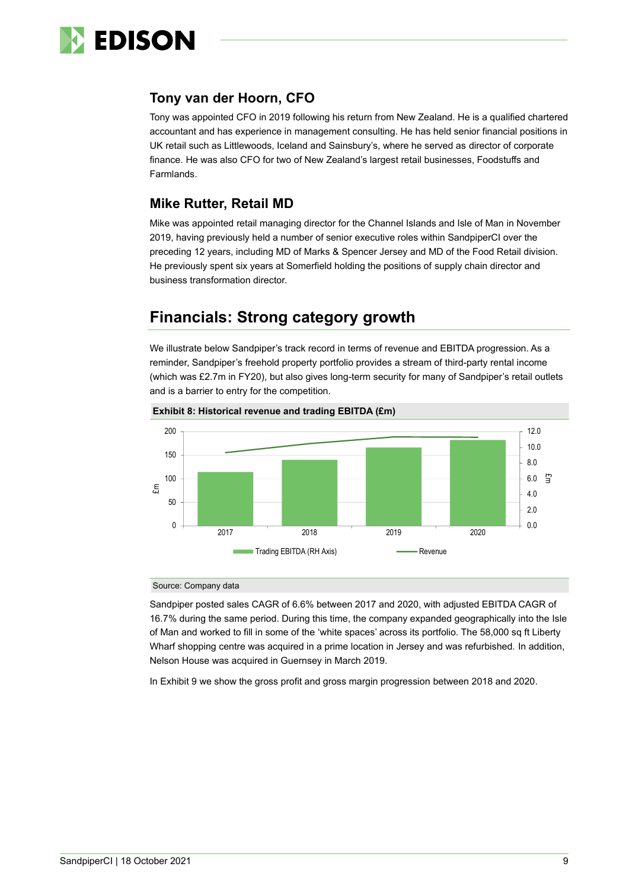

### **Tony van der Hoorn, CFO**

Tony was appointed CFO in 2019 following his return from New Zealand. He is a qualified chartered accountant and has experience in management consulting. He has held senior financial positions in UK retail such as Littlewoods, Iceland and Sainsbury's, where he served as director of corporate finance. He was also CFO for two of New Zealand's largest retail businesses, Foodstuffs and Farmlands.

### **Mike Rutter, Retail MD**

Mike was appointed retail managing director for the Channel Islands and Isle of Man in November 2019, having previously held a number of senior executive roles within SandpiperCI over the preceding 12 years, including MD of Marks & Spencer Jersey and MD of the Food Retail division. He previously spent six years at Somerfield holding the positions of supply chain director and business transformation director.

## **Financials: Strong category growth**

We illustrate below Sandpiper's track record in terms of revenue and EBITDA progression. As a reminder, Sandpiper's freehold property portfolio provides a stream of third-party rental income (which was £2.7m in FY20), but also gives long-term security for many of Sandpiper's retail outlets and is a barrier to entry for the competition.



#### **Exhibit 8: Historical revenue and trading EBITDA (£m)**

#### Source: Company data

Sandpiper posted sales CAGR of 6.6% between 2017 and 2020, with adjusted EBITDA CAGR of 16.7% during the same period. During this time, the company expanded geographically into the Isle of Man and worked to fill in some of the 'white spaces' across its portfolio. The 58,000 sq ft Liberty Wharf shopping centre was acquired in a prime location in Jersey and was refurbished. In addition, Nelson House was acquired in Guernsey in March 2019.

In Exhibit 9 we show the gross profit and gross margin progression between 2018 and 2020.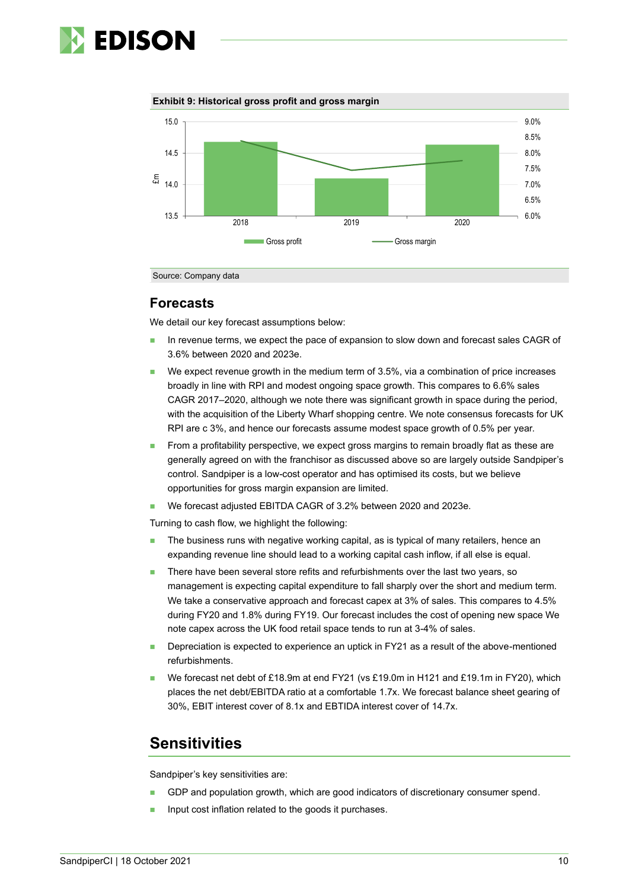

**Exhibit 9: Historical gross profit and gross margin**



Source: Company data

### **Forecasts**

We detail our key forecast assumptions below:

- In revenue terms, we expect the pace of expansion to slow down and forecast sales CAGR of 3.6% between 2020 and 2023e.
- We expect revenue growth in the medium term of 3.5%, via a combination of price increases broadly in line with RPI and modest ongoing space growth. This compares to 6.6% sales CAGR 2017–2020, although we note there was significant growth in space during the period, with the acquisition of the Liberty Wharf shopping centre. We note consensus forecasts for UK RPI are c 3%, and hence our forecasts assume modest space growth of 0.5% per year.
- From a profitability perspective, we expect gross margins to remain broadly flat as these are generally agreed on with the franchisor as discussed above so are largely outside Sandpiper's control. Sandpiper is a low-cost operator and has optimised its costs, but we believe opportunities for gross margin expansion are limited.
- ◼ We forecast adjusted EBITDA CAGR of 3.2% between 2020 and 2023e.

Turning to cash flow, we highlight the following:

- The business runs with negative working capital, as is typical of many retailers, hence an expanding revenue line should lead to a working capital cash inflow, if all else is equal.
- There have been several store refits and refurbishments over the last two years, so management is expecting capital expenditure to fall sharply over the short and medium term. We take a conservative approach and forecast capex at 3% of sales. This compares to 4.5% during FY20 and 1.8% during FY19. Our forecast includes the cost of opening new space We note capex across the UK food retail space tends to run at 3-4% of sales.
- Depreciation is expected to experience an uptick in FY21 as a result of the above-mentioned refurbishments.
- We forecast net debt of £18.9m at end FY21 (vs £19.0m in H121 and £19.1m in FY20), which places the net debt/EBITDA ratio at a comfortable 1.7x. We forecast balance sheet gearing of 30%, EBIT interest cover of 8.1x and EBTIDA interest cover of 14.7x.

### **Sensitivities**

Sandpiper's key sensitivities are:

- GDP and population growth, which are good indicators of discretionary consumer spend.
- Input cost inflation related to the goods it purchases.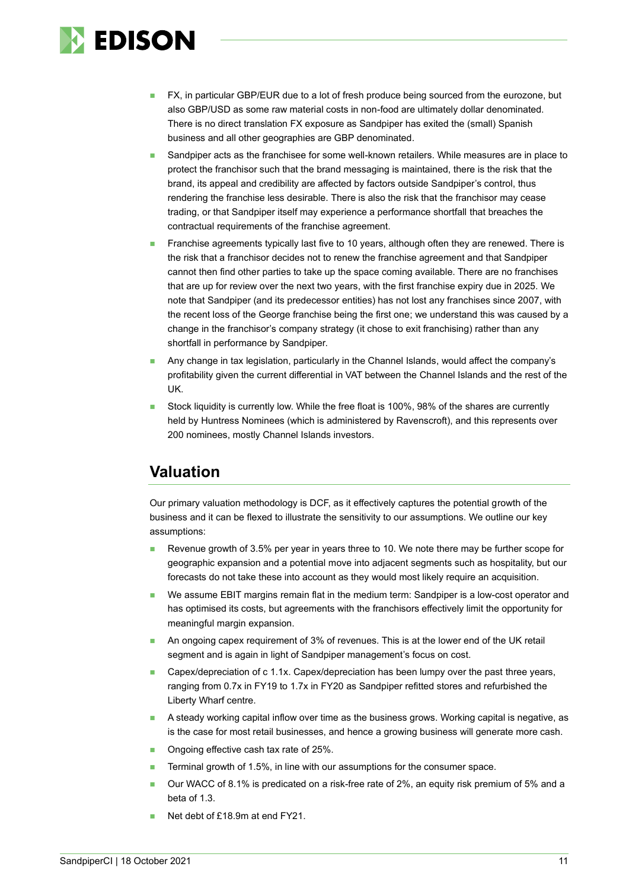

- FX, in particular GBP/EUR due to a lot of fresh produce being sourced from the eurozone, but also GBP/USD as some raw material costs in non-food are ultimately dollar denominated. There is no direct translation FX exposure as Sandpiper has exited the (small) Spanish business and all other geographies are GBP denominated.
- Sandpiper acts as the franchisee for some well-known retailers. While measures are in place to protect the franchisor such that the brand messaging is maintained, there is the risk that the brand, its appeal and credibility are affected by factors outside Sandpiper's control, thus rendering the franchise less desirable. There is also the risk that the franchisor may cease trading, or that Sandpiper itself may experience a performance shortfall that breaches the contractual requirements of the franchise agreement.
- ◼ Franchise agreements typically last five to 10 years, although often they are renewed. There is the risk that a franchisor decides not to renew the franchise agreement and that Sandpiper cannot then find other parties to take up the space coming available. There are no franchises that are up for review over the next two years, with the first franchise expiry due in 2025. We note that Sandpiper (and its predecessor entities) has not lost any franchises since 2007, with the recent loss of the George franchise being the first one; we understand this was caused by a change in the franchisor's company strategy (it chose to exit franchising) rather than any shortfall in performance by Sandpiper.
- Any change in tax legislation, particularly in the Channel Islands, would affect the company's profitability given the current differential in VAT between the Channel Islands and the rest of the UK.
- Stock liquidity is currently low. While the free float is 100%, 98% of the shares are currently held by Huntress Nominees (which is administered by Ravenscroft), and this represents over 200 nominees, mostly Channel Islands investors.

### **Valuation**

Our primary valuation methodology is DCF, as it effectively captures the potential growth of the business and it can be flexed to illustrate the sensitivity to our assumptions. We outline our key assumptions:

- Revenue growth of 3.5% per year in years three to 10. We note there may be further scope for geographic expansion and a potential move into adjacent segments such as hospitality, but our forecasts do not take these into account as they would most likely require an acquisition.
- We assume EBIT margins remain flat in the medium term: Sandpiper is a low-cost operator and has optimised its costs, but agreements with the franchisors effectively limit the opportunity for meaningful margin expansion.
- An ongoing capex requirement of 3% of revenues. This is at the lower end of the UK retail segment and is again in light of Sandpiper management's focus on cost.
- Capex/depreciation of c 1.1x. Capex/depreciation has been lumpy over the past three years, ranging from 0.7x in FY19 to 1.7x in FY20 as Sandpiper refitted stores and refurbished the Liberty Wharf centre.
- A steady working capital inflow over time as the business grows. Working capital is negative, as is the case for most retail businesses, and hence a growing business will generate more cash.
- Ongoing effective cash tax rate of 25%.
- Terminal growth of 1.5%, in line with our assumptions for the consumer space.
- ◼ Our WACC of 8.1% is predicated on a risk-free rate of 2%, an equity risk premium of 5% and a beta of 1.3.
- Net debt of £18.9m at end FY21.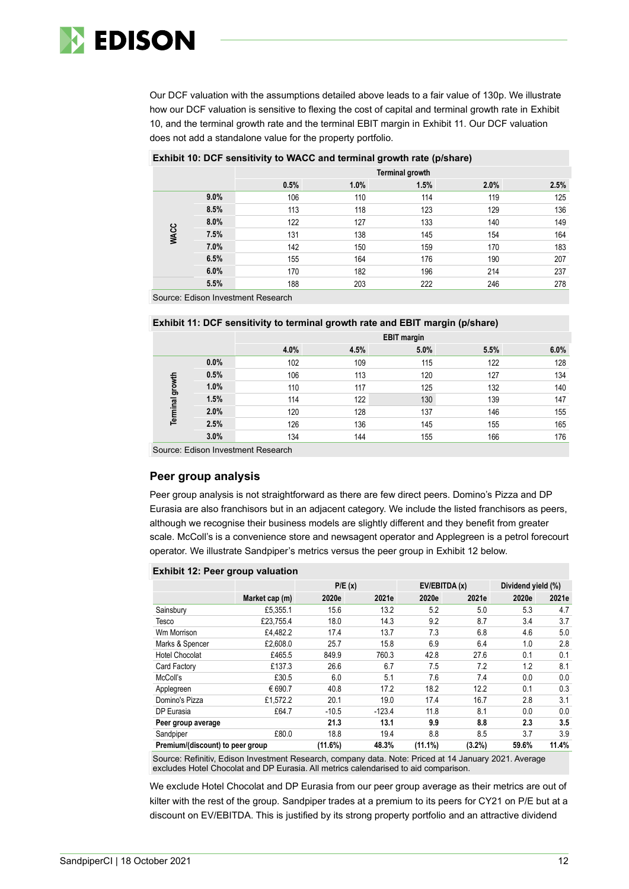

Our DCF valuation with the assumptions detailed above leads to a fair value of 130p. We illustrate how our DCF valuation is sensitive to flexing the cost of capital and terminal growth rate in Exhibit 10, and the terminal growth rate and the terminal EBIT margin in Exhibit 11. Our DCF valuation does not add a standalone value for the property portfolio.

#### **Exhibit 10: DCF sensitivity to WACC and terminal growth rate (p/share)**

|             |      | Terminal growth |      |      |      |      |
|-------------|------|-----------------|------|------|------|------|
|             |      | 0.5%            | 1.0% | 1.5% | 2.0% | 2.5% |
|             | 9.0% | 106             | 110  | 114  | 119  | 125  |
|             | 8.5% | 113             | 118  | 123  | 129  | 136  |
|             | 8.0% | 122             | 127  | 133  | 140  | 149  |
| <b>WACC</b> | 7.5% | 131             | 138  | 145  | 154  | 164  |
|             | 7.0% | 142             | 150  | 159  | 170  | 183  |
|             | 6.5% | 155             | 164  | 176  | 190  | 207  |
|             | 6.0% | 170             | 182  | 196  | 214  | 237  |
|             | 5.5% | 188             | 203  | 222  | 246  | 278  |

Source: Edison Investment Research

#### **Exhibit 11: DCF sensitivity to terminal growth rate and EBIT margin (p/share)**

|                        |      | <b>EBIT margin</b> |      |      |      |      |  |
|------------------------|------|--------------------|------|------|------|------|--|
|                        |      | 4.0%               | 4.5% | 5.0% | 5.5% | 6.0% |  |
|                        | 0.0% | 102                | 109  | 115  | 122  | 128  |  |
|                        | 0.5% | 106                | 113  | 120  | 127  | 134  |  |
| <b>Terminal growth</b> | 1.0% | 110                | 117  | 125  | 132  | 140  |  |
|                        | 1.5% | 114                | 122  | 130  | 139  | 147  |  |
|                        | 2.0% | 120                | 128  | 137  | 146  | 155  |  |
|                        | 2.5% | 126                | 136  | 145  | 155  | 165  |  |
|                        | 3.0% | 134                | 144  | 155  | 166  | 176  |  |
|                        |      |                    |      |      |      |      |  |

Source: Edison Investment Research

### **Peer group analysis**

Peer group analysis is not straightforward as there are few direct peers. Domino's Pizza and DP Eurasia are also franchisors but in an adjacent category. We include the listed franchisors as peers, although we recognise their business models are slightly different and they benefit from greater scale. McColl's is a convenience store and newsagent operator and Applegreen is a petrol forecourt operator. We illustrate Sandpiper's metrics versus the peer group in Exhibit 12 below.

#### **Exhibit 12: Peer group valuation**

|                                  |                | P/E(x)  |          |         | EV/EBITDA (x) | Dividend yield (%) |       |
|----------------------------------|----------------|---------|----------|---------|---------------|--------------------|-------|
|                                  | Market cap (m) | 2020e   | 2021e    | 2020e   | 2021e         | 2020e              | 2021e |
| Sainsbury                        | £5.355.1       | 15.6    | 13.2     | 5.2     | 5.0           | 5.3                | 4.7   |
| Tesco                            | £23.755.4      | 18.0    | 14.3     | 9.2     | 8.7           | 3.4                | 3.7   |
| Wm Morrison                      | £4.482.2       | 17.4    | 13.7     | 7.3     | 6.8           | 4.6                | 5.0   |
| Marks & Spencer                  | £2.608.0       | 25.7    | 15.8     | 6.9     | 6.4           | 1.0                | 2.8   |
| <b>Hotel Chocolat</b>            | £465.5         | 849.9   | 760.3    | 42.8    | 27.6          | 0.1                | 0.1   |
| Card Factory                     | £137.3         | 26.6    | 6.7      | 7.5     | 7.2           | 1.2                | 8.1   |
| McColl's                         | £30.5          | 6.0     | 5.1      | 7.6     | 7.4           | 0.0                | 0.0   |
| Applegreen                       | € 690.7        | 40.8    | 17.2     | 18.2    | 12.2          | 0.1                | 0.3   |
| Domino's Pizza                   | £1.572.2       | 20.1    | 19.0     | 17.4    | 16.7          | 2.8                | 3.1   |
| DP Eurasia                       | £64.7          | $-10.5$ | $-123.4$ | 11.8    | 8.1           | 0.0                | 0.0   |
| Peer group average               |                | 21.3    | 13.1     | 9.9     | 8.8           | 2.3                | 3.5   |
| Sandpiper                        | £80.0          | 18.8    | 19.4     | 8.8     | 8.5           | 3.7                | 3.9   |
| Premium/(discount) to peer group |                | (11.6%) | 48.3%    | (11.1%) | (3.2%)        | 59.6%              | 11.4% |

Source: Refinitiv, Edison Investment Research, company data. Note: Priced at 14 January 2021. Average excludes Hotel Chocolat and DP Eurasia. All metrics calendarised to aid comparison.

We exclude Hotel Chocolat and DP Eurasia from our peer group average as their metrics are out of kilter with the rest of the group. Sandpiper trades at a premium to its peers for CY21 on P/E but at a discount on EV/EBITDA. This is justified by its strong property portfolio and an attractive dividend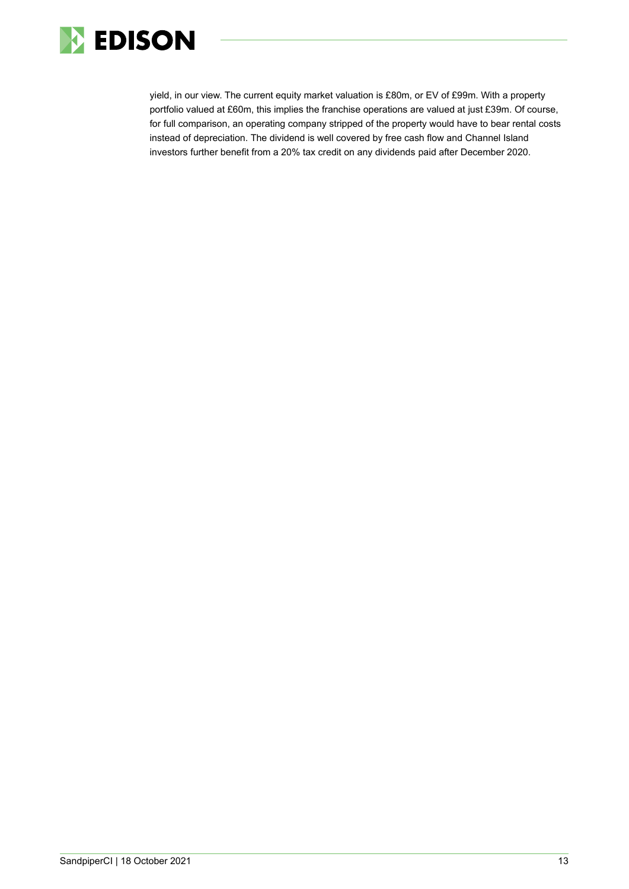

yield, in our view. The current equity market valuation is £80m, or EV of £99m. With a property portfolio valued at £60m, this implies the franchise operations are valued at just £39m. Of course, for full comparison, an operating company stripped of the property would have to bear rental costs instead of depreciation. The dividend is well covered by free cash flow and Channel Island investors further benefit from a 20% tax credit on any dividends paid after December 2020.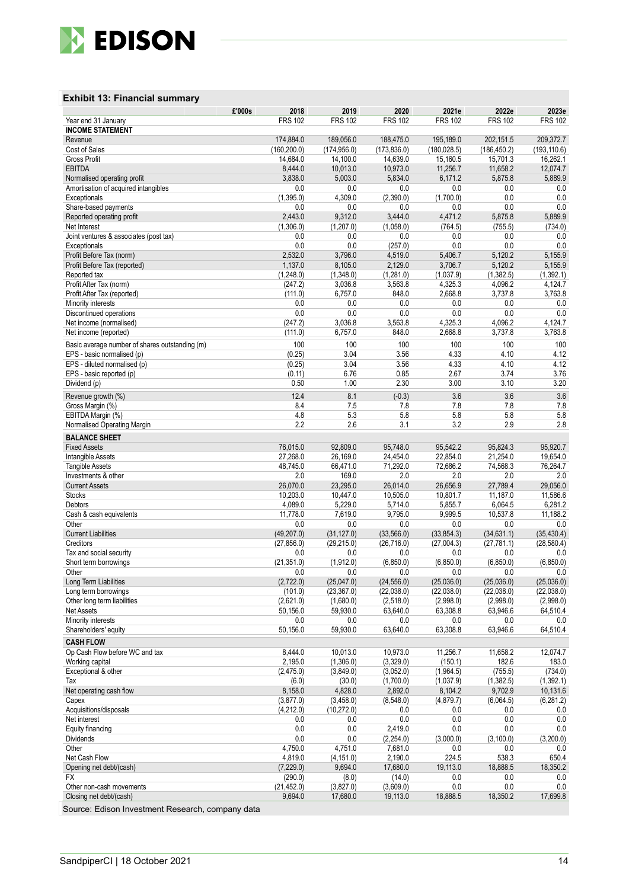

#### **Exhibit 13: Financial summary**

| £'000s                                               | 2018                 | 2019                      | 2020                  | 2021e                    | 2022e                    | 2023e             |
|------------------------------------------------------|----------------------|---------------------------|-----------------------|--------------------------|--------------------------|-------------------|
| Year end 31 January                                  | <b>FRS 102</b>       | <b>FRS 102</b>            | <b>FRS 102</b>        | <b>FRS 102</b>           | <b>FRS 102</b>           | <b>FRS 102</b>    |
| <b>INCOME STATEMENT</b>                              |                      |                           |                       |                          |                          |                   |
| Revenue                                              | 174,884.0            | 189,056.0                 | 188,475.0             | 195.189.0                | 202,151.5                | 209,372.7         |
| Cost of Sales                                        | (160, 200.0)         | (174, 956.0)              | (173, 836.0)          | (180, 028.5)             | (186, 450.2)             | (193, 110.6)      |
| Gross Profit                                         | 14,684.0             | 14,100.0                  | 14,639.0              | 15,160.5                 | 15,701.3                 | 16,262.1          |
| <b>EBITDA</b>                                        | 8,444.0              | 10,013.0                  | 10,973.0              | 11.256.7                 | 11,658.2                 | 12,074.7          |
| Normalised operating profit                          | 3,838.0<br>0.0       | 5,003.0<br>0.0            | 5,834.0<br>0.0        | 6,171.2<br>0.0           | 5,875.8<br>0.0           | 5,889.9<br>0.0    |
| Amortisation of acquired intangibles<br>Exceptionals | (1,395.0)            | 4,309.0                   | (2,390.0)             | (1,700.0)                | 0.0                      | 0.0               |
| Share-based payments                                 | 0.0                  | 0.0                       | 0.0                   | 0.0                      | 0.0                      | 0.0               |
| Reported operating profit                            | 2.443.0              | 9,312.0                   | 3,444.0               | 4.471.2                  | 5,875.8                  | 5,889.9           |
| Net Interest                                         | (1,306.0)            | (1,207.0)                 | (1,058.0)             | (764.5)                  | (755.5)                  | (734.0)           |
| Joint ventures & associates (post tax)               | 0.0                  | 0.0                       | 0.0                   | 0.0                      | 0.0                      | 0.0               |
| Exceptionals                                         | 0.0                  | 0.0                       | (257.0)               | 0.0                      | 0.0                      | 0.0               |
| Profit Before Tax (norm)                             | 2,532.0              | 3,796.0                   | 4,519.0               | 5,406.7                  | 5,120.2                  | 5,155.9           |
| Profit Before Tax (reported)                         | 1,137.0              | 8,105.0                   | 2,129.0               | 3,706.7                  | 5,120.2                  | 5,155.9           |
| Reported tax                                         | (1,248.0)            | (1,348.0)                 | (1,281.0)             | (1,037.9)                | (1, 382.5)               | (1, 392.1)        |
| Profit After Tax (norm)                              | (247.2)              | 3,036.8                   | 3,563.8               | 4,325.3                  | 4,096.2                  | 4,124.7           |
| Profit After Tax (reported)                          | (111.0)              | 6,757.0                   | 848.0                 | 2,668.8                  | 3,737.8                  | 3,763.8           |
| Minority interests                                   | 0.0                  | 0.0                       | 0.0                   | 0.0                      | 0.0                      | 0.0               |
| Discontinued operations                              | 0.0                  | 0.0                       | 0.0                   | 0.0                      | 0.0                      | 0.0               |
| Net income (normalised)                              | (247.2)              | 3,036.8                   | 3,563.8               | 4,325.3                  | 4,096.2                  | 4,124.7           |
| Net income (reported)                                | (111.0)              | 6,757.0                   | 848.0                 | 2,668.8                  | 3,737.8                  | 3,763.8           |
| Basic average number of shares outstanding (m)       | 100                  | 100                       | 100                   | 100                      | 100                      | 100               |
| EPS - basic normalised (p)                           | (0.25)               | 3.04                      | 3.56                  | 4.33                     | 4.10                     | 4.12              |
| EPS - diluted normalised (p)                         | (0.25)               | 3.04                      | 3.56                  | 4.33                     | 4.10                     | 4.12              |
| EPS - basic reported (p)                             | (0.11)               | 6.76                      | 0.85                  | 2.67                     | 3.74                     | 3.76              |
| Dividend (p)                                         | 0.50                 | 1.00                      | 2.30                  | 3.00                     | 3.10                     | 3.20              |
| Revenue growth (%)                                   | 12.4                 | 8.1                       | $(-0.3)$              | 3.6                      | 3.6                      | 3.6               |
| Gross Margin (%)                                     | 8.4                  | 7.5                       | 7.8                   | 7.8                      | 7.8                      | 7.8               |
| EBITDA Margin (%)                                    | 4.8                  | 5.3                       | 5.8                   | 5.8                      | 5.8                      | 5.8               |
| Normalised Operating Margin                          | 2.2                  | 2.6                       | 3.1                   | 3.2                      | 2.9                      | 2.8               |
| <b>BALANCE SHEET</b>                                 |                      |                           |                       |                          |                          |                   |
| <b>Fixed Assets</b>                                  | 76,015.0             | 92,809.0                  | 95,748.0              | 95,542.2                 | 95,824.3                 | 95,920.7          |
| Intangible Assets                                    | 27,268.0             | 26,169.0                  | 24,454.0              | 22,854.0                 | 21,254.0                 | 19,654.0          |
| <b>Tangible Assets</b>                               | 48,745.0             | 66,471.0                  | 71,292.0              | 72,686.2                 | 74,568.3                 | 76,264.7          |
| Investments & other                                  | 2.0                  | 169.0                     | 2.0                   | 2.0                      | 2.0                      | 2.0               |
| <b>Current Assets</b>                                | 26,070.0             | 23,295.0                  | 26,014.0              | 26,656.9                 | 27,789.4                 | 29,056.0          |
| <b>Stocks</b>                                        | 10,203.0             | 10,447.0                  | 10,505.0              | 10,801.7                 | 11,187.0                 | 11,586.6          |
| <b>Debtors</b>                                       | 4,089.0              | 5,229.0                   | 5,714.0               | 5,855.7                  | 6,064.5                  | 6,281.2           |
| Cash & cash equivalents                              | 11,778.0             | 7,619.0                   | 9,795.0               | 9,999.5                  | 10,537.8                 | 11,188.2          |
| Other                                                | 0.0                  | 0.0                       | 0.0                   | 0.0                      | 0.0                      | 0.0               |
| <b>Current Liabilities</b>                           | (49, 207.0)          | (31, 127.0)               | (33, 566.0)           | (33, 854.3)              | (34, 631.1)              | (35, 430.4)       |
| Creditors                                            | (27, 856.0)          | (29, 215.0)               | (26, 716.0)           | (27,004.3)               | (27, 781.1)              | (28, 580.4)       |
| Tax and social security                              | 0.0                  | 0.0                       | 0.0                   | 0.0                      | 0.0                      | 0.0               |
| Short term borrowings                                | (21, 351.0)          | (1,912.0)                 | (6, 850.0)            | (6,850.0)                | (6,850.0)                | (6, 850.0)        |
| Other                                                | 0.0                  | 0.0                       | 0.0<br>(24, 556.0)    | 0.0                      | 0.0                      | 0.0<br>(25,036.0) |
| Long Term Liabilities<br>Long term borrowings        | (2,722.0)<br>(101.0) | (25,047.0)<br>(23, 367.0) | (22,038.0)            | (25,036.0)<br>(22,038.0) | (25,036.0)<br>(22,038.0) | (22,038.0)        |
| Other long term liabilities                          | (2,621.0)            | (1,680.0)                 | (2,518.0)             | (2,998.0)                | (2,998.0)                | (2,998.0)         |
| <b>Net Assets</b>                                    | 50,156.0             | 59,930.0                  | 63,640.0              | 63,308.8                 | 63,946.6                 | 64,510.4          |
| Minority interests                                   | 0.0                  | 0.0                       | 0.0                   | 0.0                      | 0.0                      | 0.0               |
| Shareholders' equity                                 | 50,156.0             | 59,930.0                  | 63,640.0              | 63,308.8                 | 63,946.6                 | 64,510.4          |
|                                                      |                      |                           |                       |                          |                          |                   |
| <b>CASH FLOW</b><br>Op Cash Flow before WC and tax   | 8,444.0              |                           |                       |                          |                          |                   |
| Working capital                                      | 2,195.0              | 10,013.0<br>(1,306.0)     | 10,973.0<br>(3,329.0) | 11,256.7<br>(150.1)      | 11,658.2<br>182.6        | 12,074.7<br>183.0 |
| Exceptional & other                                  | (2,475.0)            | (3,849.0)                 | (3,052.0)             | (1,964.5)                | (755.5)                  | (734.0)           |
| Tax                                                  | (6.0)                | (30.0)                    | (1,700.0)             | (1,037.9)                | (1,382.5)                | (1,392.1)         |
| Net operating cash flow                              | 8,158.0              | 4,828.0                   | 2,892.0               | 8,104.2                  | 9,702.9                  | 10,131.6          |
| Capex                                                | (3,877.0)            | (3,458.0)                 | (8,548.0)             | (4,879.7)                | (6,064.5)                | (6, 281.2)        |
| Acquisitions/disposals                               | (4,212.0)            | (10, 272.0)               | 0.0                   | 0.0                      | 0.0                      | 0.0               |
| Net interest                                         | 0.0                  | $0.0\,$                   | 0.0                   | 0.0                      | 0.0                      | 0.0               |
| Equity financing                                     | 0.0                  | 0.0                       | 2,419.0               | 0.0                      | 0.0                      | 0.0               |
| Dividends                                            | 0.0                  | 0.0                       | (2,254.0)             | (3,000.0)                | (3, 100.0)               | (3,200.0)         |
| Other                                                | 4,750.0              | 4,751.0                   | 7,681.0               | 0.0                      | 0.0                      | 0.0               |
| Net Cash Flow                                        | 4,819.0              | (4, 151.0)                | 2,190.0               | 224.5                    | 538.3                    | 650.4             |
| Opening net debt/(cash)                              | (7,229.0)            | 9,694.0                   | 17,680.0              | 19,113.0                 | 18,888.5                 | 18,350.2          |
| FX                                                   | (290.0)              | (8.0)                     | (14.0)                | 0.0                      | 0.0                      | 0.0               |
| Other non-cash movements                             | (21, 452.0)          | (3,827.0)                 | (3,609.0)             | 0.0                      | 0.0                      | 0.0               |
| Closing net debt/(cash)                              | 9,694.0              | 17,680.0                  | 19,113.0              | 18,888.5                 | 18,350.2                 | 17,699.8          |

Source: Edison Investment Research, company data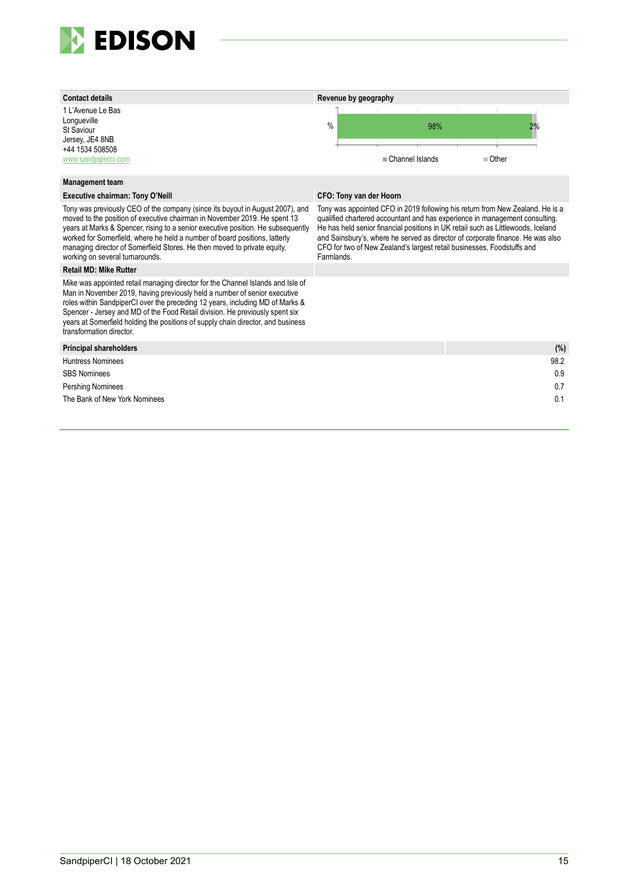



#### **Management team**

#### **Executive chairman: Tony O'Neill CFO: Tony van der Hoorn**

Tony was previously CEO of the company (since its buyout in August 2007), and moved to the position of executive chairman in November 2019. He spent 13 years at Marks & Spencer, rising to a senior executive position. He subsequently worked for Somerfield, where he held a number of board positions, latterly managing director of Somerfield Stores. He then moved to private equity, working on several turnarounds.

#### **Retail MD: Mike Rutter**

Mike was appointed retail managing director for the Channel Islands and Isle of Man in November 2019, having previously held a number of senior executive roles within SandpiperCI over the preceding 12 years, including MD of Marks & Spencer - Jersey and MD of the Food Retail division. He previously spent six years at Somerfield holding the positions of supply chain director, and business transformation director.

| <b>Principal shareholders</b> | (% ) |
|-------------------------------|------|
| <b>Huntress Nominees</b>      | 98.2 |
| <b>SBS Nominees</b>           | 0.9  |
| Pershing Nominees             | 0.7  |
| The Bank of New York Nominees | 0.1  |
|                               |      |

Tony was appointed CFO in 2019 following his return from New Zealand. He is a qualified chartered accountant and has experience in management consulting. He has held senior financial positions in UK retail such as Littlewoods, Iceland and Sainsbury's, where he served as director of corporate finance. He was also CFO for two of New Zealand's largest retail businesses, Foodstuffs and Farmlands.